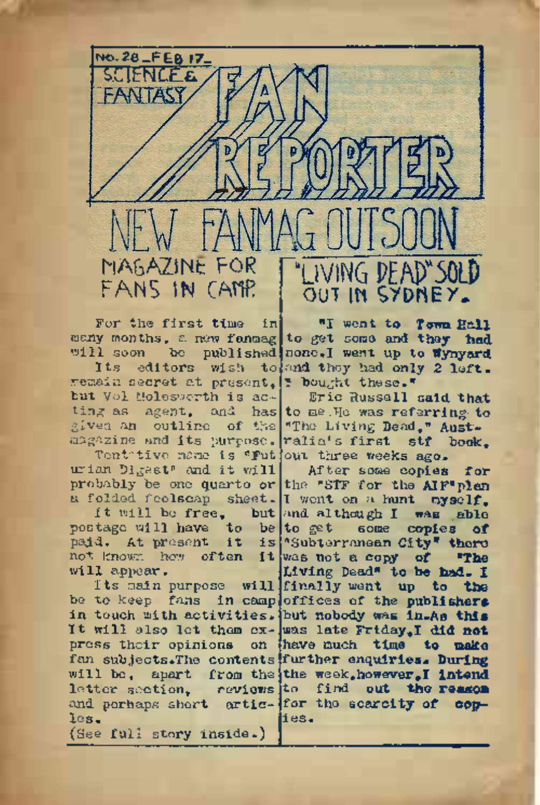FANS IN CAMP. MAGAZINE FOR THUVING DEAD"SOLD

no. **28-FEB 17-** "S.ClENCEa

remain secret at present, it bought these." but Vol Molesworth is ac- Eric Russell said that ting as  $agent$ , and has to me . He was referring to given an outline of the The Living Dead," Aust.<br>magazine and its purpose. ralia's first stf book.

urian Digest" and it will After some copies for

will appear.

be to keep fans in camp offices of the **publishers** in touch with activities. but nobody **was in.As this** It will also let them ex-was late Friday,! **did not** press their opinions on have much **time to make** fan subjects.The contents further enquiries. **During** will be, apart from the the week,however,**I intend** letter section, reviews to **find** out **the reason** and perhaps short artic- for the scarcity of coples. (See full story inside.)

For the first time in "I went to **Town Hall** many months, a new fanmag to get some and they **had.** will soon be published none. I went up to wynyard Its editors wish to and they had only 2 left.

Tentative name is 'Putjout three weeks ago.

probably be one quarto or the "STF for the AIF'plan a folded foolscap sheet. I went on a hunt myself. It will be free, but and although I was able postage will have to be to get some copies **of** paid. At present it is 'Subterranean City' there not known how often it was not a copy of **"The** Its main purpose will finally went up **to the** Living Dead" to **be had. I** ies.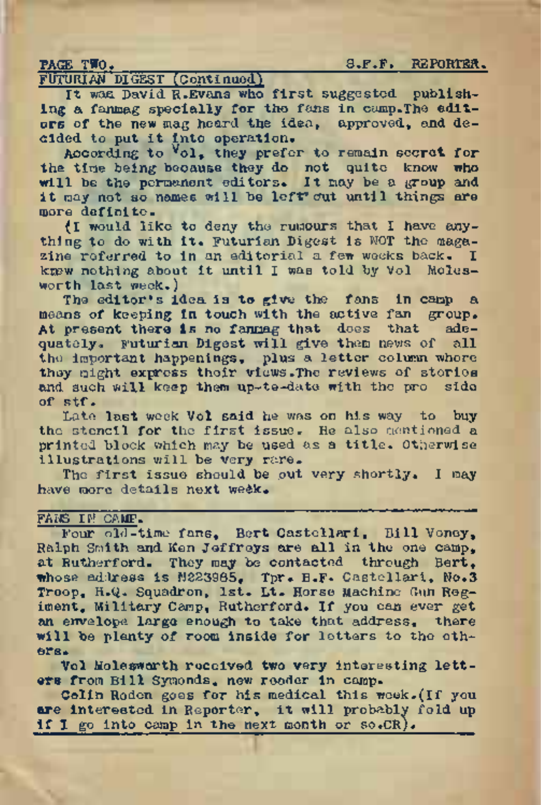PAGE TWO. S.F.F. REPORTER.

FUTURIAN DIGEST (Continued)

It was David R.Evans who first suggested publishing a fanmag specially for the fans in camp.The editors of the new mag heard the idea, approved, and decided to put it into operation.

According to  $\sqrt{01}$ , they prefer to remain secret for the time being because they do not quite know who will be the permanent editors. It may be a group and it may not so names will be left out until things are more definite.

(I would like to deny the rumours that I have anything to do with it. Futurian Digest is NOT the magazine referred to in an editorial a few weeks back. I krew nothing about it until I was told by Vol Molesworth last week.)

The editor\*s idea is **to** give the fans in camp <sup>a</sup> means of keeping in touch with the active fan group.<br>At present there is no fannag that does that ade-At present there is no fanmag that does that quately. Futurian Digest will give them news of all the important happenings, plus a letter column whore they might express their views.The reviews of stories and such will keep them up-te-date with the pro side of stf.

Late last week Vol said he was on his way to buy the stencil for the first issue. He also mentioned a printed block which may be used as a title. Otherwise illustrations will be very rare.

The first issue should be out very shortly. I may have more details next we£k.

#### FANS IN CAMP.

Four old-time fans, Bert Castellari, Bill Veney, Ralph Smith and Ken Jeffreys are all in the one camp, at Rutherford. They may be contacted through Bert, whose address is N223985, Tpr. B.F» Castellari, No.3 Troop, H.Q. Squadron, 1st. Lt. Horse Machine Gun Regiment, Military Camp, Rutherford. If you can ever get **an** envelope large enough to take that address, there will be plenty of room inside for letters to the others.

Vol Molesworth roccived two very interesting letters from Bill Symonds, new reader in camp.

Celin Roden goes for his medical this week.(If you are interested in Reporter, it will probably fold up if I go into camp in the next month or so.CR).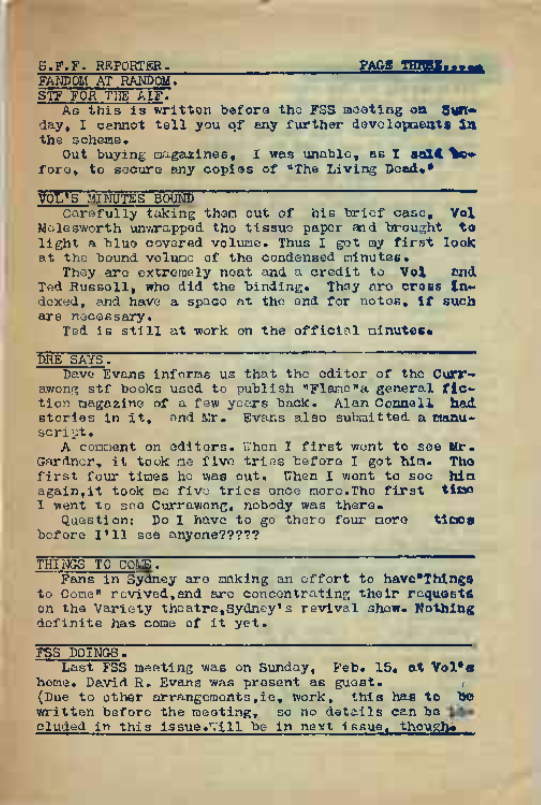S.F.F. REPORTER. **FRAGE THWEISE** 

# FANDOM AT RANDOM. STF FOR THE AIF.

As this is writton before the FSS meeting **on Sun**day, <sup>I</sup> cannot tell you qf any further developments **in** the scheme.

Out buying magazines, <sup>I</sup> was unable, as <sup>I</sup> **soX< be**fore, to secure any copies of "The Living Dead."

# VOL\*S MINUTES BOUND

Carefully taking them out of his brief case. Vol Molesworth unwrapped the tissue paper and brought **to** light a blue covered volume. Thus <sup>I</sup> got my first **look** at the bound volume of the condensed minutes.

They are extremely neat and a credit to **Vol and** Ted Russell, who did the binding. They are **cross In\*** dexed, and have <sup>a</sup>space at the end for notes, **if such** are necessary.

Ted is still at work on the official **minutes.**

### DRE SAYS.

Dave Evans informs us that the editor of the **Curr**awong stf books used to publish "Flame"a general **fie\*** tion magazine of a few years back. Alan **Connell had** stories in it, and Mr. Evans also submitted a manuscri pt.

A comment on editors. When <sup>I</sup> first wont **to** see **Mr.** Gardner, it took me five tries before <sup>I</sup> got **him. The** first four times ho was out. Then I went to see him again,it took me five tries once more.The first **time** I went to see Currawong, nobody was there.

Question: Do I have to go there four more **times** before I'll see anyone?????

# THINGS TO COME.

Fans in Sydney are making an effort to have<sup>s</sup>Things to Come" revived,and are concentrating their **requests** on the Variety theatre,Sydney'<sup>s</sup> revival show. **Nothing** definite has come of it yet.

# FSS DOINGS.

Last FSS meeting was on Sunday, Feb. 15, **at Vol\*9** home. David R. Evans was present as guest. (Due to other arrangements,ie, work, this has **to be** written before the meeting, so no details **can be** cluded in this issue. Till be in next issue, though.